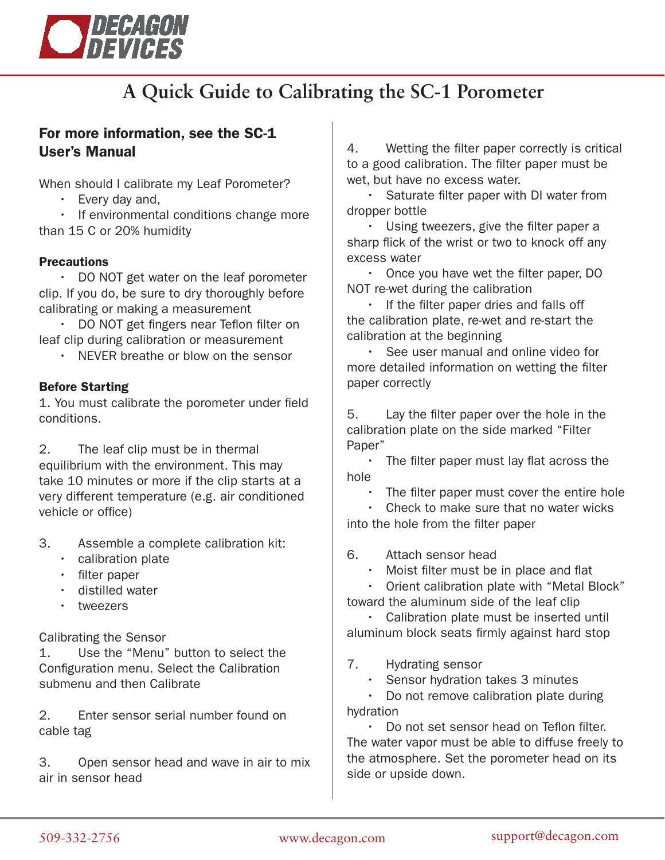

# **A Quick Guide to Calibrating the SC-1 Porometer**

# For more information, see the SC-1 User's Manual

When should I calibrate my Leaf Porometer?

- Every day and,
- If environmental conditions change more than 15 C or 20% humidity

#### **Precautions**

 • DO NOT get water on the leaf porometer clip. If you do, be sure to dry thoroughly before calibrating or making a measurement

 • DO NOT get fingers near Teflon filter on leaf clip during calibration or measurement

• NEVER breathe or blow on the sensor

#### Before Starting

1. You must calibrate the porometer under field conditions.

2. The leaf clip must be in thermal equilibrium with the environment. This may take 10 minutes or more if the clip starts at a very different temperature (e.g. air conditioned vehicle or office)

- 3. Assemble a complete calibration kit:
	- calibration plate
	- filter paper
	- distilled water
	- tweezers

Calibrating the Sensor

1. Use the "Menu" button to select the Configuration menu. Select the Calibration submenu and then Calibrate

2. Enter sensor serial number found on cable tag

3. Open sensor head and wave in air to mix air in sensor head

4. Wetting the filter paper correctly is critical to a good calibration. The filter paper must be wet, but have no excess water.

Saturate filter paper with DI water from dropper bottle

 • Using tweezers, give the filter paper a sharp flick of the wrist or two to knock off any excess water

 • Once you have wet the filter paper, DO NOT re-wet during the calibration

 • If the filter paper dries and falls off the calibration plate, re-wet and re-start the calibration at the beginning

 • See user manual and online video for more detailed information on wetting the filter paper correctly

5. Lay the filter paper over the hole in the calibration plate on the side marked "Filter Paper"

 • The filter paper must lay flat across the hole

The filter paper must cover the entire hole

 • Check to make sure that no water wicks into the hole from the filter paper

6. Attach sensor head

• Moist filter must be in place and flat

 • Orient calibration plate with "Metal Block" toward the aluminum side of the leaf clip

 • Calibration plate must be inserted until aluminum block seats firmly against hard stop

7. Hydrating sensor

Sensor hydration takes 3 minutes

 • Do not remove calibration plate during hydration

 • Do not set sensor head on Teflon filter. The water vapor must be able to diffuse freely to the atmosphere. Set the porometer head on its side or upside down.